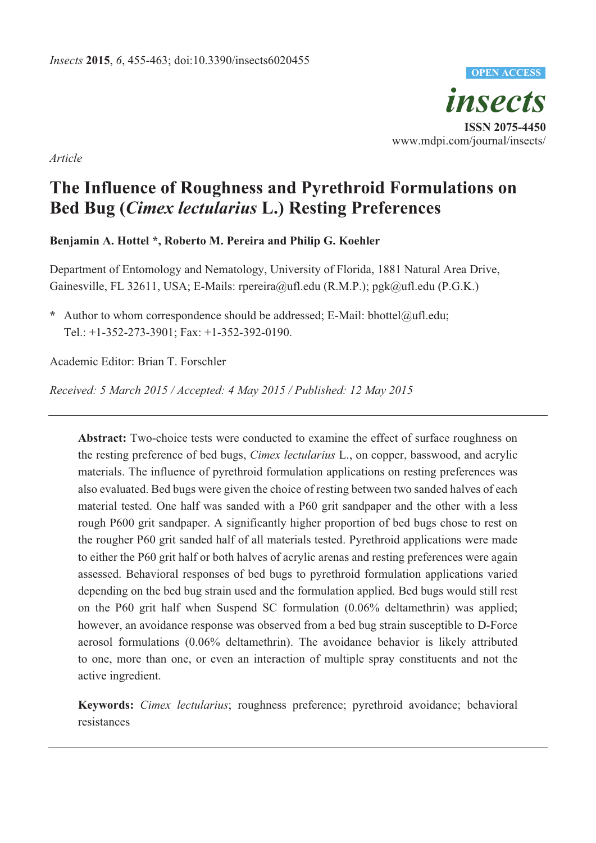*insects*  **ISSN 2075-4450**  www.mdpi.com/journal/insects/ **OPEN ACCESS**

*Article* 

# **The Influence of Roughness and Pyrethroid Formulations on Bed Bug (***Cimex lectularius* **L.) Resting Preferences**

**Benjamin A. Hottel \*, Roberto M. Pereira and Philip G. Koehler** 

Department of Entomology and Nematology, University of Florida, 1881 Natural Area Drive, Gainesville, FL 32611, USA; E-Mails: rpereira@ufl.edu (R.M.P.); pgk@ufl.edu (P.G.K.)

Author to whom correspondence should be addressed; E-Mail: bhottel@ufl.edu; Tel.: +1-352-273-3901; Fax: +1-352-392-0190.

Academic Editor: Brian T. Forschler

*Received: 5 March 2015 / Accepted: 4 May 2015 / Published: 12 May 2015* 

**Abstract:** Two-choice tests were conducted to examine the effect of surface roughness on the resting preference of bed bugs, *Cimex lectularius* L., on copper, basswood, and acrylic materials. The influence of pyrethroid formulation applications on resting preferences was also evaluated. Bed bugs were given the choice of resting between two sanded halves of each material tested. One half was sanded with a P60 grit sandpaper and the other with a less rough P600 grit sandpaper. A significantly higher proportion of bed bugs chose to rest on the rougher P60 grit sanded half of all materials tested. Pyrethroid applications were made to either the P60 grit half or both halves of acrylic arenas and resting preferences were again assessed. Behavioral responses of bed bugs to pyrethroid formulation applications varied depending on the bed bug strain used and the formulation applied. Bed bugs would still rest on the P60 grit half when Suspend SC formulation (0.06% deltamethrin) was applied; however, an avoidance response was observed from a bed bug strain susceptible to D-Force aerosol formulations (0.06% deltamethrin). The avoidance behavior is likely attributed to one, more than one, or even an interaction of multiple spray constituents and not the active ingredient.

**Keywords:** *Cimex lectularius*; roughness preference; pyrethroid avoidance; behavioral resistances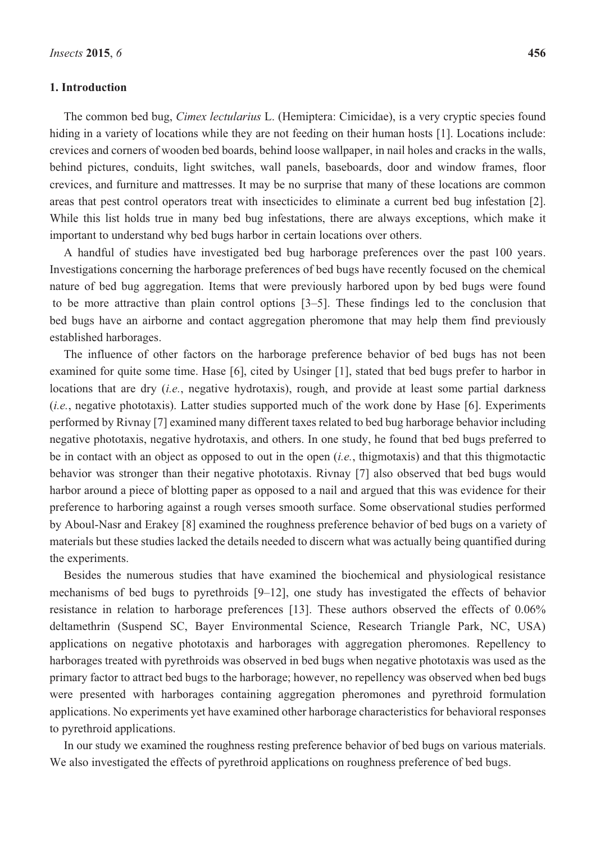#### **1. Introduction**

The common bed bug, *Cimex lectularius* L. (Hemiptera: Cimicidae), is a very cryptic species found hiding in a variety of locations while they are not feeding on their human hosts [1]. Locations include: crevices and corners of wooden bed boards, behind loose wallpaper, in nail holes and cracks in the walls, behind pictures, conduits, light switches, wall panels, baseboards, door and window frames, floor crevices, and furniture and mattresses. It may be no surprise that many of these locations are common areas that pest control operators treat with insecticides to eliminate a current bed bug infestation [2]. While this list holds true in many bed bug infestations, there are always exceptions, which make it important to understand why bed bugs harbor in certain locations over others.

A handful of studies have investigated bed bug harborage preferences over the past 100 years. Investigations concerning the harborage preferences of bed bugs have recently focused on the chemical nature of bed bug aggregation. Items that were previously harbored upon by bed bugs were found to be more attractive than plain control options [3–5]. These findings led to the conclusion that bed bugs have an airborne and contact aggregation pheromone that may help them find previously established harborages.

The influence of other factors on the harborage preference behavior of bed bugs has not been examined for quite some time. Hase [6], cited by Usinger [1], stated that bed bugs prefer to harbor in locations that are dry (*i.e.*, negative hydrotaxis), rough, and provide at least some partial darkness (*i.e.*, negative phototaxis). Latter studies supported much of the work done by Hase [6]. Experiments performed by Rivnay [7] examined many different taxes related to bed bug harborage behavior including negative phototaxis, negative hydrotaxis, and others. In one study, he found that bed bugs preferred to be in contact with an object as opposed to out in the open (*i.e.*, thigmotaxis) and that this thigmotactic behavior was stronger than their negative phototaxis. Rivnay [7] also observed that bed bugs would harbor around a piece of blotting paper as opposed to a nail and argued that this was evidence for their preference to harboring against a rough verses smooth surface. Some observational studies performed by Aboul-Nasr and Erakey [8] examined the roughness preference behavior of bed bugs on a variety of materials but these studies lacked the details needed to discern what was actually being quantified during the experiments.

Besides the numerous studies that have examined the biochemical and physiological resistance mechanisms of bed bugs to pyrethroids [9–12], one study has investigated the effects of behavior resistance in relation to harborage preferences [13]. These authors observed the effects of 0.06% deltamethrin (Suspend SC, Bayer Environmental Science, Research Triangle Park, NC, USA) applications on negative phototaxis and harborages with aggregation pheromones. Repellency to harborages treated with pyrethroids was observed in bed bugs when negative phototaxis was used as the primary factor to attract bed bugs to the harborage; however, no repellency was observed when bed bugs were presented with harborages containing aggregation pheromones and pyrethroid formulation applications. No experiments yet have examined other harborage characteristics for behavioral responses to pyrethroid applications.

In our study we examined the roughness resting preference behavior of bed bugs on various materials. We also investigated the effects of pyrethroid applications on roughness preference of bed bugs.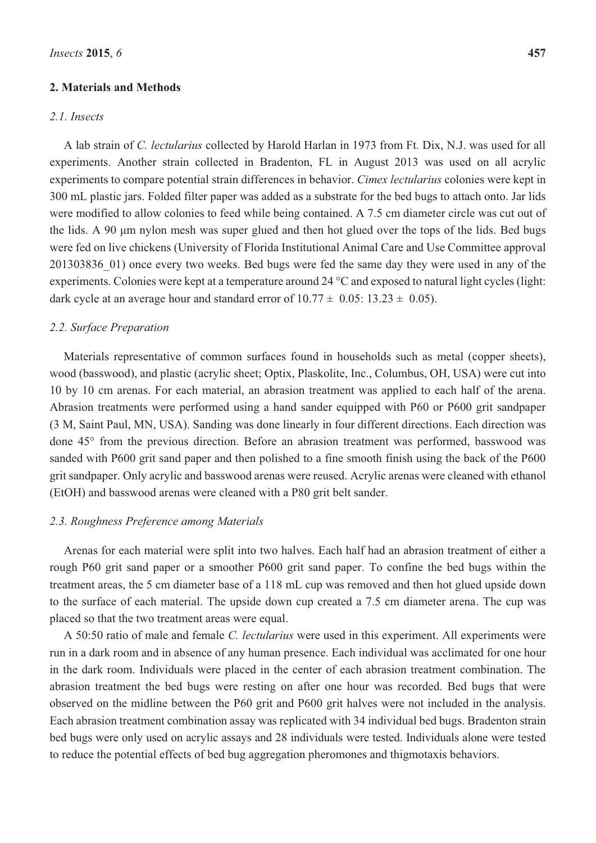#### **2. Materials and Methods**

## *2.1. Insects*

A lab strain of *C. lectularius* collected by Harold Harlan in 1973 from Ft. Dix, N.J. was used for all experiments. Another strain collected in Bradenton, FL in August 2013 was used on all acrylic experiments to compare potential strain differences in behavior. *Cimex lectularius* colonies were kept in 300 mL plastic jars. Folded filter paper was added as a substrate for the bed bugs to attach onto. Jar lids were modified to allow colonies to feed while being contained. A 7.5 cm diameter circle was cut out of the lids. A 90 μm nylon mesh was super glued and then hot glued over the tops of the lids. Bed bugs were fed on live chickens (University of Florida Institutional Animal Care and Use Committee approval 201303836\_01) once every two weeks. Bed bugs were fed the same day they were used in any of the experiments. Colonies were kept at a temperature around 24 °C and exposed to natural light cycles (light: dark cycle at an average hour and standard error of  $10.77 \pm 0.05$ :  $13.23 \pm 0.05$ ).

#### *2.2. Surface Preparation*

Materials representative of common surfaces found in households such as metal (copper sheets), wood (basswood), and plastic (acrylic sheet; Optix, Plaskolite, Inc., Columbus, OH, USA) were cut into 10 by 10 cm arenas. For each material, an abrasion treatment was applied to each half of the arena. Abrasion treatments were performed using a hand sander equipped with P60 or P600 grit sandpaper (3 M, Saint Paul, MN, USA). Sanding was done linearly in four different directions. Each direction was done 45° from the previous direction. Before an abrasion treatment was performed, basswood was sanded with P600 grit sand paper and then polished to a fine smooth finish using the back of the P600 grit sandpaper. Only acrylic and basswood arenas were reused. Acrylic arenas were cleaned with ethanol (EtOH) and basswood arenas were cleaned with a P80 grit belt sander.

#### *2.3. Roughness Preference among Materials*

Arenas for each material were split into two halves. Each half had an abrasion treatment of either a rough P60 grit sand paper or a smoother P600 grit sand paper. To confine the bed bugs within the treatment areas, the 5 cm diameter base of a 118 mL cup was removed and then hot glued upside down to the surface of each material. The upside down cup created a 7.5 cm diameter arena. The cup was placed so that the two treatment areas were equal.

A 50:50 ratio of male and female *C. lectularius* were used in this experiment. All experiments were run in a dark room and in absence of any human presence. Each individual was acclimated for one hour in the dark room. Individuals were placed in the center of each abrasion treatment combination. The abrasion treatment the bed bugs were resting on after one hour was recorded. Bed bugs that were observed on the midline between the P60 grit and P600 grit halves were not included in the analysis. Each abrasion treatment combination assay was replicated with 34 individual bed bugs. Bradenton strain bed bugs were only used on acrylic assays and 28 individuals were tested. Individuals alone were tested to reduce the potential effects of bed bug aggregation pheromones and thigmotaxis behaviors.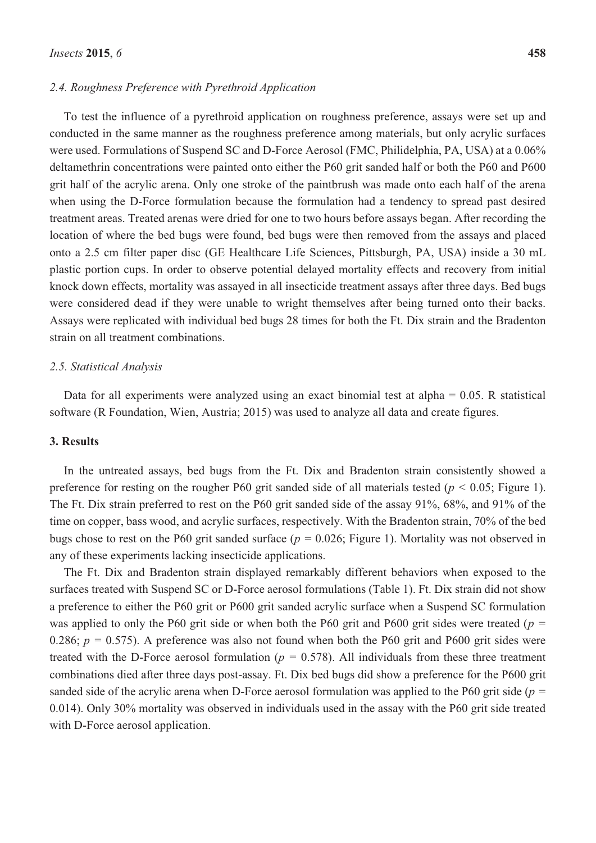#### *2.4. Roughness Preference with Pyrethroid Application*

To test the influence of a pyrethroid application on roughness preference, assays were set up and conducted in the same manner as the roughness preference among materials, but only acrylic surfaces were used. Formulations of Suspend SC and D-Force Aerosol (FMC, Philidelphia, PA, USA) at a 0.06% deltamethrin concentrations were painted onto either the P60 grit sanded half or both the P60 and P600 grit half of the acrylic arena. Only one stroke of the paintbrush was made onto each half of the arena when using the D-Force formulation because the formulation had a tendency to spread past desired treatment areas. Treated arenas were dried for one to two hours before assays began. After recording the location of where the bed bugs were found, bed bugs were then removed from the assays and placed onto a 2.5 cm filter paper disc (GE Healthcare Life Sciences, Pittsburgh, PA, USA) inside a 30 mL plastic portion cups. In order to observe potential delayed mortality effects and recovery from initial knock down effects, mortality was assayed in all insecticide treatment assays after three days. Bed bugs were considered dead if they were unable to wright themselves after being turned onto their backs. Assays were replicated with individual bed bugs 28 times for both the Ft. Dix strain and the Bradenton strain on all treatment combinations.

#### *2.5. Statistical Analysis*

Data for all experiments were analyzed using an exact binomial test at alpha  $= 0.05$ . R statistical software (R Foundation, Wien, Austria; 2015) was used to analyze all data and create figures.

#### **3. Results**

In the untreated assays, bed bugs from the Ft. Dix and Bradenton strain consistently showed a preference for resting on the rougher P60 grit sanded side of all materials tested ( $p < 0.05$ ; Figure 1). The Ft. Dix strain preferred to rest on the P60 grit sanded side of the assay 91%, 68%, and 91% of the time on copper, bass wood, and acrylic surfaces, respectively. With the Bradenton strain, 70% of the bed bugs chose to rest on the P60 grit sanded surface (*p =* 0.026; Figure 1). Mortality was not observed in any of these experiments lacking insecticide applications.

The Ft. Dix and Bradenton strain displayed remarkably different behaviors when exposed to the surfaces treated with Suspend SC or D-Force aerosol formulations (Table 1). Ft. Dix strain did not show a preference to either the P60 grit or P600 grit sanded acrylic surface when a Suspend SC formulation was applied to only the P60 grit side or when both the P60 grit and P600 grit sides were treated (*p =* 0.286;  $p = 0.575$ ). A preference was also not found when both the P60 grit and P600 grit sides were treated with the D-Force aerosol formulation ( $p = 0.578$ ). All individuals from these three treatment combinations died after three days post-assay. Ft. Dix bed bugs did show a preference for the P600 grit sanded side of the acrylic arena when D-Force aerosol formulation was applied to the P60 grit side (*p =* 0.014). Only 30% mortality was observed in individuals used in the assay with the P60 grit side treated with D-Force aerosol application.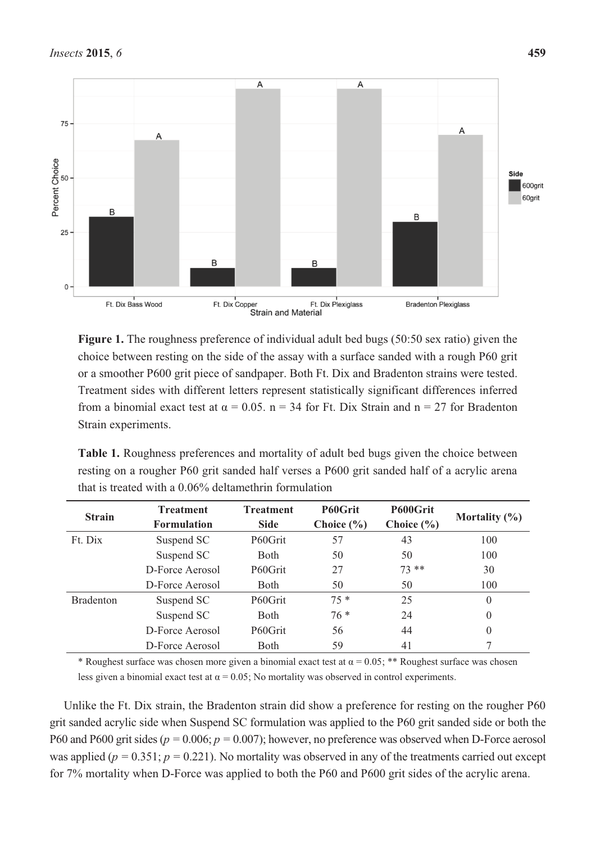

**Figure 1.** The roughness preference of individual adult bed bugs (50:50 sex ratio) given the choice between resting on the side of the assay with a surface sanded with a rough P60 grit or a smoother P600 grit piece of sandpaper. Both Ft. Dix and Bradenton strains were tested. Treatment sides with different letters represent statistically significant differences inferred from a binomial exact test at  $\alpha = 0.05$ . n = 34 for Ft. Dix Strain and n = 27 for Bradenton Strain experiments.

| <b>Table 1.</b> Roughness preferences and mortality of adult bed bugs given the choice between |
|------------------------------------------------------------------------------------------------|
| resting on a rougher P60 grit sanded half verses a P600 grit sanded half of a acrylic arena    |
| that is treated with a 0.06% deltamethrin formulation                                          |

| <b>Strain</b>    | <b>Treatment</b><br><b>Formulation</b> | <b>Treatment</b><br><b>Side</b> | P60Grit<br>Choice $(\% )$ | P600Grit<br>Choice $(\% )$ | Mortality $(\% )$ |
|------------------|----------------------------------------|---------------------------------|---------------------------|----------------------------|-------------------|
| Ft. Dix          | Suspend SC                             | P60Grit                         | 57                        | 43                         | 100               |
|                  | Suspend SC                             | <b>Both</b>                     | 50                        | 50                         | 100               |
|                  | D-Force Aerosol                        | P60Grit                         | 27                        | $73**$                     | 30                |
|                  | D-Force Aerosol                        | <b>Both</b>                     | 50                        | 50                         | 100               |
| <b>Bradenton</b> | Suspend SC                             | P60Grit                         | $75*$                     | 25                         | $\theta$          |
|                  | Suspend SC                             | <b>Both</b>                     | $76*$                     | 24                         | $\theta$          |
|                  | D-Force Aerosol                        | P60Grit                         | 56                        | 44                         | $\theta$          |
|                  | D-Force Aerosol                        | <b>B</b> oth                    | 59                        | 41                         |                   |

\* Roughest surface was chosen more given a binomial exact test at  $\alpha = 0.05$ ; \*\* Roughest surface was chosen less given a binomial exact test at  $\alpha = 0.05$ ; No mortality was observed in control experiments.

Unlike the Ft. Dix strain, the Bradenton strain did show a preference for resting on the rougher P60 grit sanded acrylic side when Suspend SC formulation was applied to the P60 grit sanded side or both the P60 and P600 grit sides ( $p = 0.006$ ;  $p = 0.007$ ); however, no preference was observed when D-Force aerosol was applied ( $p = 0.351$ ;  $p = 0.221$ ). No mortality was observed in any of the treatments carried out except for 7% mortality when D-Force was applied to both the P60 and P600 grit sides of the acrylic arena.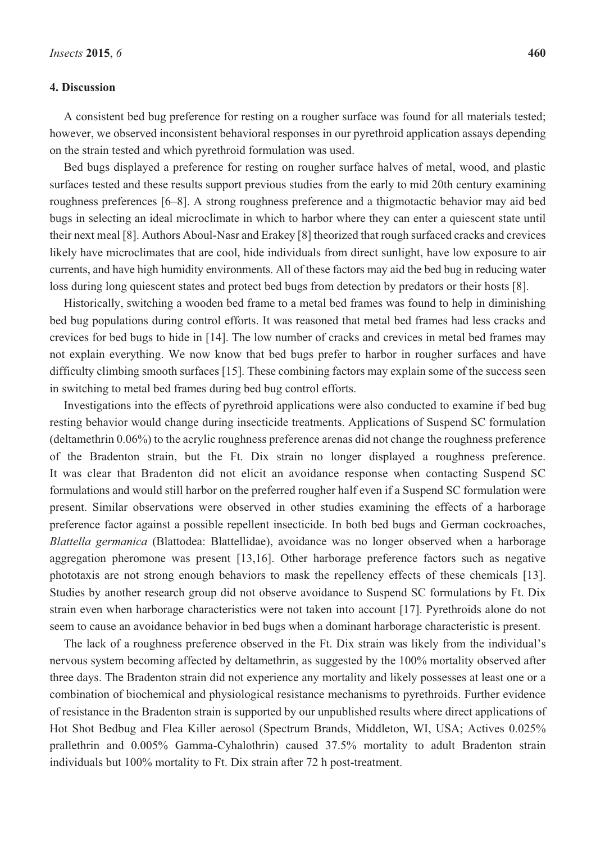#### **4. Discussion**

A consistent bed bug preference for resting on a rougher surface was found for all materials tested; however, we observed inconsistent behavioral responses in our pyrethroid application assays depending on the strain tested and which pyrethroid formulation was used.

Bed bugs displayed a preference for resting on rougher surface halves of metal, wood, and plastic surfaces tested and these results support previous studies from the early to mid 20th century examining roughness preferences [6–8]. A strong roughness preference and a thigmotactic behavior may aid bed bugs in selecting an ideal microclimate in which to harbor where they can enter a quiescent state until their next meal [8]. Authors Aboul-Nasr and Erakey [8] theorized that rough surfaced cracks and crevices likely have microclimates that are cool, hide individuals from direct sunlight, have low exposure to air currents, and have high humidity environments. All of these factors may aid the bed bug in reducing water loss during long quiescent states and protect bed bugs from detection by predators or their hosts [8].

Historically, switching a wooden bed frame to a metal bed frames was found to help in diminishing bed bug populations during control efforts. It was reasoned that metal bed frames had less cracks and crevices for bed bugs to hide in [14]. The low number of cracks and crevices in metal bed frames may not explain everything. We now know that bed bugs prefer to harbor in rougher surfaces and have difficulty climbing smooth surfaces [15]. These combining factors may explain some of the success seen in switching to metal bed frames during bed bug control efforts.

Investigations into the effects of pyrethroid applications were also conducted to examine if bed bug resting behavior would change during insecticide treatments. Applications of Suspend SC formulation (deltamethrin 0.06%) to the acrylic roughness preference arenas did not change the roughness preference of the Bradenton strain, but the Ft. Dix strain no longer displayed a roughness preference. It was clear that Bradenton did not elicit an avoidance response when contacting Suspend SC formulations and would still harbor on the preferred rougher half even if a Suspend SC formulation were present. Similar observations were observed in other studies examining the effects of a harborage preference factor against a possible repellent insecticide. In both bed bugs and German cockroaches, *Blattella germanica* (Blattodea: Blattellidae), avoidance was no longer observed when a harborage aggregation pheromone was present [13,16]. Other harborage preference factors such as negative phototaxis are not strong enough behaviors to mask the repellency effects of these chemicals [13]. Studies by another research group did not observe avoidance to Suspend SC formulations by Ft. Dix strain even when harborage characteristics were not taken into account [17]. Pyrethroids alone do not seem to cause an avoidance behavior in bed bugs when a dominant harborage characteristic is present.

The lack of a roughness preference observed in the Ft. Dix strain was likely from the individual'<sup>s</sup> nervous system becoming affected by deltamethrin, as suggested by the 100% mortality observed after three days. The Bradenton strain did not experience any mortality and likely possesses at least one or a combination of biochemical and physiological resistance mechanisms to pyrethroids. Further evidence of resistance in the Bradenton strain is supported by our unpublished results where direct applications of Hot Shot Bedbug and Flea Killer aerosol (Spectrum Brands, Middleton, WI, USA; Actives 0.025% prallethrin and 0.005% Gamma-Cyhalothrin) caused 37.5% mortality to adult Bradenton strain individuals but 100% mortality to Ft. Dix strain after 72 h post-treatment.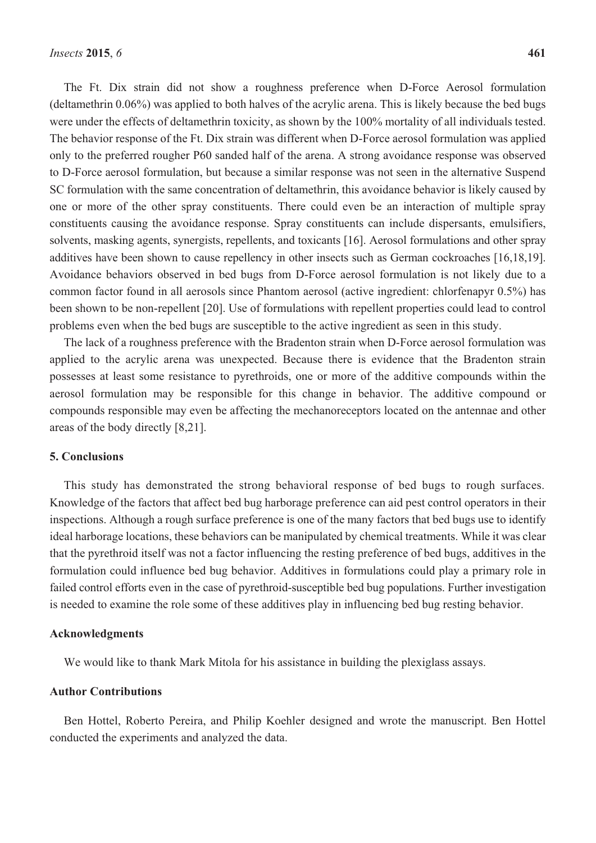The Ft. Dix strain did not show a roughness preference when D-Force Aerosol formulation (deltamethrin 0.06%) was applied to both halves of the acrylic arena. This is likely because the bed bugs were under the effects of deltamethrin toxicity, as shown by the 100% mortality of all individuals tested. The behavior response of the Ft. Dix strain was different when D-Force aerosol formulation was applied only to the preferred rougher P60 sanded half of the arena. A strong avoidance response was observed to D-Force aerosol formulation, but because a similar response was not seen in the alternative Suspend SC formulation with the same concentration of deltamethrin, this avoidance behavior is likely caused by one or more of the other spray constituents. There could even be an interaction of multiple spray constituents causing the avoidance response. Spray constituents can include dispersants, emulsifiers, solvents, masking agents, synergists, repellents, and toxicants [16]. Aerosol formulations and other spray additives have been shown to cause repellency in other insects such as German cockroaches [16,18,19]. Avoidance behaviors observed in bed bugs from D-Force aerosol formulation is not likely due to a common factor found in all aerosols since Phantom aerosol (active ingredient: chlorfenapyr 0.5%) has been shown to be non-repellent [20]. Use of formulations with repellent properties could lead to control problems even when the bed bugs are susceptible to the active ingredient as seen in this study.

The lack of a roughness preference with the Bradenton strain when D-Force aerosol formulation was applied to the acrylic arena was unexpected. Because there is evidence that the Bradenton strain possesses at least some resistance to pyrethroids, one or more of the additive compounds within the aerosol formulation may be responsible for this change in behavior. The additive compound or compounds responsible may even be affecting the mechanoreceptors located on the antennae and other areas of the body directly [8,21].

## **5. Conclusions**

This study has demonstrated the strong behavioral response of bed bugs to rough surfaces. Knowledge of the factors that affect bed bug harborage preference can aid pest control operators in their inspections. Although a rough surface preference is one of the many factors that bed bugs use to identify ideal harborage locations, these behaviors can be manipulated by chemical treatments. While it was clear that the pyrethroid itself was not a factor influencing the resting preference of bed bugs, additives in the formulation could influence bed bug behavior. Additives in formulations could play a primary role in failed control efforts even in the case of pyrethroid-susceptible bed bug populations. Further investigation is needed to examine the role some of these additives play in influencing bed bug resting behavior.

## **Acknowledgments**

We would like to thank Mark Mitola for his assistance in building the plexiglass assays.

#### **Author Contributions**

Ben Hottel, Roberto Pereira, and Philip Koehler designed and wrote the manuscript. Ben Hottel conducted the experiments and analyzed the data.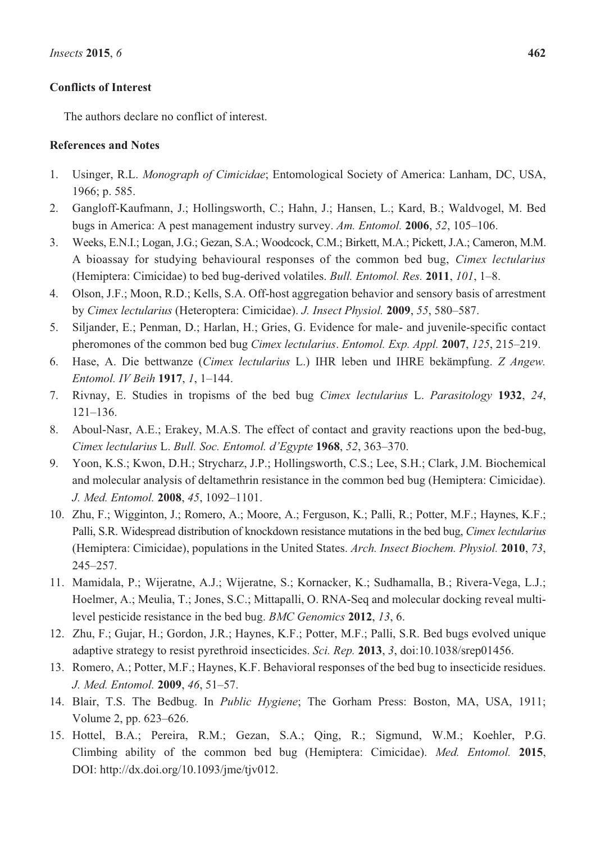# **Conflicts of Interest**

The authors declare no conflict of interest.

# **References and Notes**

- 1. Usinger, R.L. *Monograph of Cimicidae*; Entomological Society of America: Lanham, DC, USA, 1966; p. 585.
- 2. Gangloff-Kaufmann, J.; Hollingsworth, C.; Hahn, J.; Hansen, L.; Kard, B.; Waldvogel, M. Bed bugs in America: A pest management industry survey. *Am. Entomol.* **<sup>2006</sup>**, *52*, 105–106.
- 3. Weeks, E.N.I.; Logan, J.G.; Gezan, S.A.; Woodcock, C.M.; Birkett, M.A.; Pickett, J.A.; Cameron, M.M. A bioassay for studying behavioural responses of the common bed bug, *Cimex lectularius* (Hemiptera: Cimicidae) to bed bug-derived volatiles. *Bull. Entomol. Res.* **<sup>2011</sup>**, *101*, 1–8.
- 4. Olson, J.F.; Moon, R.D.; Kells, S.A. Off-host aggregation behavior and sensory basis of arrestment by *Cimex lectularius* (Heteroptera: Cimicidae). *J. Insect Physiol.* **<sup>2009</sup>**, *55*, 580–587.
- 5. Siljander, E.; Penman, D.; Harlan, H.; Gries, G. Evidence for male- and juvenile-specific contact pheromones of the common bed bug *Cimex lectularius*. *Entomol. Exp. Appl.* **<sup>2007</sup>**, *125*, 215–219.
- 6. Hase, A. Die bettwanze (*Cimex lectularius* L.) IHR leben und IHRE bekämpfung. *Z Angew. Entomol. IV Beih* **<sup>1917</sup>**, *1*, 1–144.
- 7. Rivnay, E. Studies in tropisms of the bed bug *Cimex lectularius* L. *Parasitology* **1932**, *24*, <sup>121</sup>–136.
- 8. Aboul-Nasr, A.E.; Erakey, M.A.S. The effect of contact and gravity reactions upon the bed-bug, *Cimex lectularius* L. *Bull. Soc. Entomol. d'Egypte* **<sup>1968</sup>**, *52*, 363–370.
- 9. Yoon, K.S.; Kwon, D.H.; Strycharz, J.P.; Hollingsworth, C.S.; Lee, S.H.; Clark, J.M. Biochemical and molecular analysis of deltamethrin resistance in the common bed bug (Hemiptera: Cimicidae). *J. Med. Entomol.* **<sup>2008</sup>**, *45*, 1092–1101.
- 10. Zhu, F.; Wigginton, J.; Romero, A.; Moore, A.; Ferguson, K.; Palli, R.; Potter, M.F.; Haynes, K.F.; Palli, S.R. Widespread distribution of knockdown resistance mutations in the bed bug, *Cimex lectularius* (Hemiptera: Cimicidae), populations in the United States. *Arch. Insect Biochem. Physiol.* **2010**, *73*, <sup>245</sup>–257.
- 11. Mamidala, P.; Wijeratne, A.J.; Wijeratne, S.; Kornacker, K.; Sudhamalla, B.; Rivera-Vega, L.J.; Hoelmer, A.; Meulia, T.; Jones, S.C.; Mittapalli, O. RNA-Seq and molecular docking reveal multilevel pesticide resistance in the bed bug. *BMC Genomics* **2012**, *13*, 6.
- 12. Zhu, F.; Gujar, H.; Gordon, J.R.; Haynes, K.F.; Potter, M.F.; Palli, S.R. Bed bugs evolved unique adaptive strategy to resist pyrethroid insecticides. *Sci. Rep.* **2013**, *3*, doi:10.1038/srep01456.
- 13. Romero, A.; Potter, M.F.; Haynes, K.F. Behavioral responses of the bed bug to insecticide residues. *J. Med. Entomol.* **<sup>2009</sup>**, *46*, 51–57.
- 14. Blair, T.S. The Bedbug. In *Public Hygiene*; The Gorham Press: Boston, MA, USA, 1911; Volume 2, pp. 623–626.
- 15. Hottel, B.A.; Pereira, R.M.; Gezan, S.A.; Qing, R.; Sigmund, W.M.; Koehler, P.G. Climbing ability of the common bed bug (Hemiptera: Cimicidae). *Med. Entomol.* **2015**, DOI: http://dx.doi.org/10.1093/jme/tjv012.